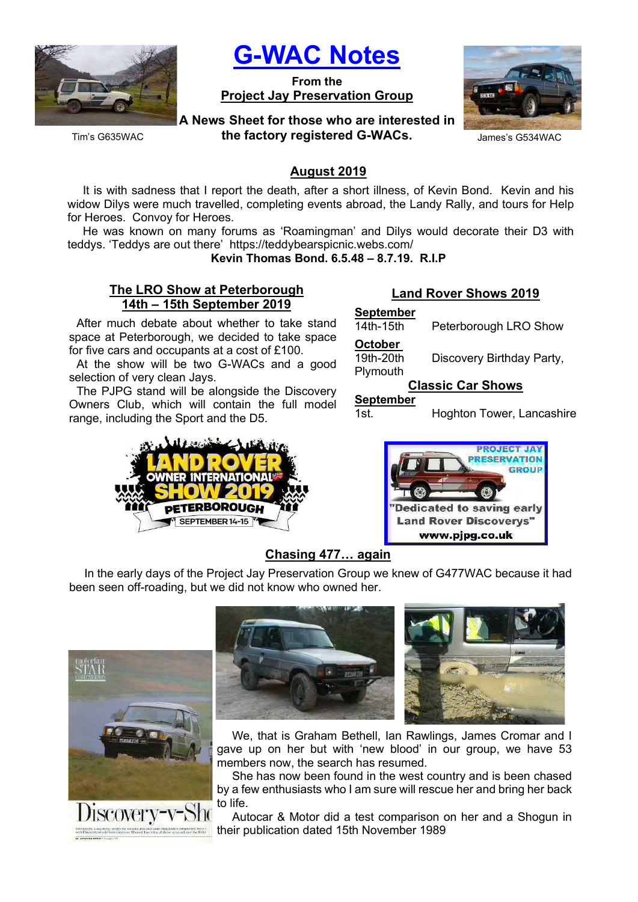

G-WAC Notes

From the Project Jay Preservation Group



the factory registered G-WACs. James's G534WAC

Tim's G635WAC

# August 2019

It is with sadness that I report the death, after a short illness, of Kevin Bond. Kevin and his widow Dilys were much travelled, completing events abroad, the Landy Rally, and tours for Help for Heroes. Convoy for Heroes.

He was known on many forums as 'Roamingman' and Dilys would decorate their D3 with teddys. 'Teddys are out there' https://teddybearspicnic.webs.com/

Kevin Thomas Bond. 6.5.48 – 8.7.19. R.I.P

## The LRO Show at Peterborough 14th – 15th September 2019

After much debate about whether to take stand space at Peterborough, we decided to take space for five cars and occupants at a cost of £100.

At the show will be two G-WACs and a good selection of very clean Jays.

The PJPG stand will be alongside the Discovery Owners Club, which will contain the full model range, including the Sport and the D5.



# Land Rover Shows 2019

| <b>September</b><br>14th-15th    | Peterborough LRO Show     |  |  |  |  |
|----------------------------------|---------------------------|--|--|--|--|
| October<br>19th-20th<br>Plymouth | Discovery Birthday Party, |  |  |  |  |
| <b>Classic Car Shows</b>         |                           |  |  |  |  |
| <b>September</b>                 |                           |  |  |  |  |

1st. Hoghton Tower, Lancashire



## Chasing 477… again

In the early days of the Project Jay Preservation Group we knew of G477WAC because it had been seen off-roading, but we did not know who owned her.





We, that is Graham Bethell, Ian Rawlings, James Cromar and I gave up on her but with 'new blood' in our group, we have 53 members now, the search has resumed.

She has now been found in the west country and is been chased by a few enthusiasts who I am sure will rescue her and bring her back to life.

Autocar & Motor did a test comparison on her and a Shogun in their publication dated 15th November 1989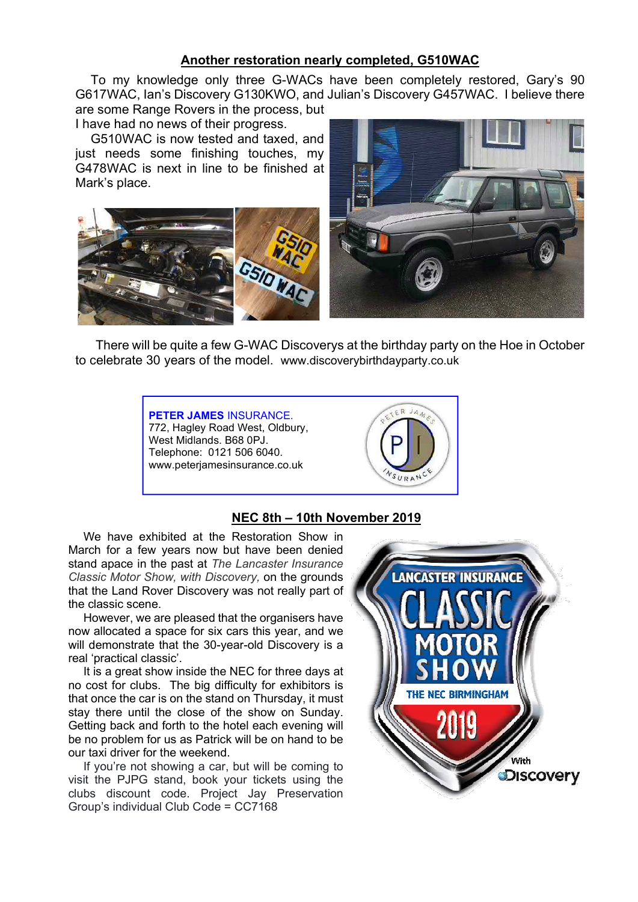# Another restoration nearly completed, G510WAC

To my knowledge only three G-WACs have been completely restored, Gary's 90 G617WAC, Ian's Discovery G130KWO, and Julian's Discovery G457WAC. I believe there are some Range Rovers in the process, but

I have had no news of their progress.

G510WAC is now tested and taxed, and just needs some finishing touches, my G478WAC is next in line to be finished at Mark's place.





 There will be quite a few G-WAC Discoverys at the birthday party on the Hoe in October to celebrate 30 years of the model. www.discoverybirthdayparty.co.uk



## NEC 8th – 10th November 2019

We have exhibited at the Restoration Show in March for a few years now but have been denied stand apace in the past at The Lancaster Insurance Classic Motor Show, with Discovery, on the grounds that the Land Rover Discovery was not really part of the classic scene.

However, we are pleased that the organisers have now allocated a space for six cars this year, and we will demonstrate that the 30-year-old Discovery is a real 'practical classic'.

It is a great show inside the NEC for three days at no cost for clubs. The big difficulty for exhibitors is that once the car is on the stand on Thursday, it must stay there until the close of the show on Sunday. Getting back and forth to the hotel each evening will be no problem for us as Patrick will be on hand to be our taxi driver for the weekend.

If you're not showing a car, but will be coming to visit the PJPG stand, book your tickets using the clubs discount code. Project Jay Preservation Group's individual Club Code = CC7168

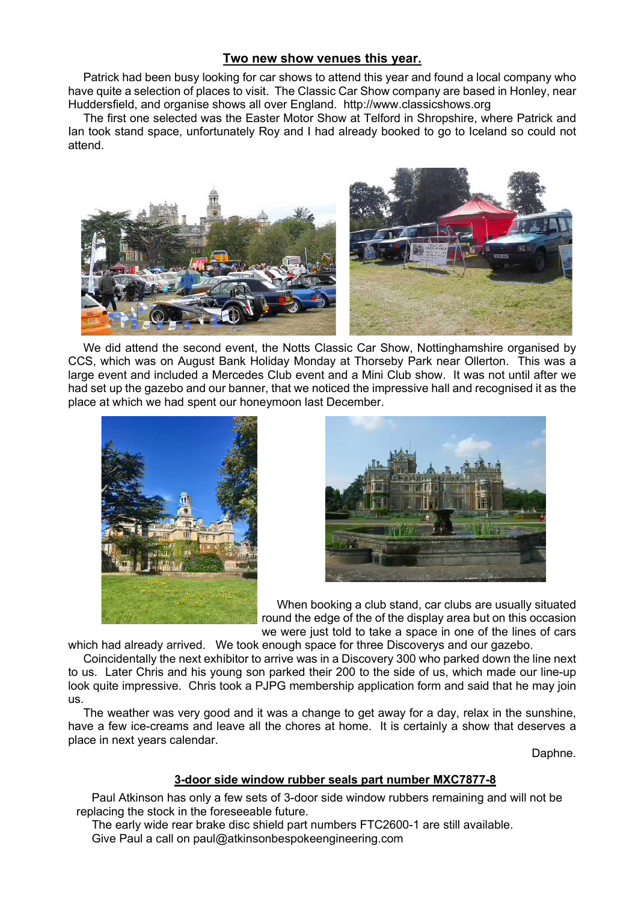## Two new show venues this year.

Patrick had been busy looking for car shows to attend this year and found a local company who have quite a selection of places to visit. The Classic Car Show company are based in Honley, near Huddersfield, and organise shows all over England. http://www.classicshows.org

The first one selected was the Easter Motor Show at Telford in Shropshire, where Patrick and Ian took stand space, unfortunately Roy and I had already booked to go to Iceland so could not attend.



We did attend the second event, the Notts Classic Car Show, Nottinghamshire organised by CCS, which was on August Bank Holiday Monday at Thorseby Park near Ollerton. This was a large event and included a Mercedes Club event and a Mini Club show. It was not until after we had set up the gazebo and our banner, that we noticed the impressive hall and recognised it as the place at which we had spent our honeymoon last December.





When booking a club stand, car clubs are usually situated round the edge of the of the display area but on this occasion we were just told to take a space in one of the lines of cars

which had already arrived. We took enough space for three Discoverys and our gazebo.

Coincidentally the next exhibitor to arrive was in a Discovery 300 who parked down the line next to us. Later Chris and his young son parked their 200 to the side of us, which made our line-up look quite impressive. Chris took a PJPG membership application form and said that he may join us.

The weather was very good and it was a change to get away for a day, relax in the sunshine, have a few ice-creams and leave all the chores at home. It is certainly a show that deserves a place in next years calendar.

Daphne.

#### 3-door side window rubber seals part number MXC7877-8

Paul Atkinson has only a few sets of 3-door side window rubbers remaining and will not be replacing the stock in the foreseeable future.

The early wide rear brake disc shield part numbers FTC2600-1 are still available. Give Paul a call on paul@atkinsonbespokeengineering.com